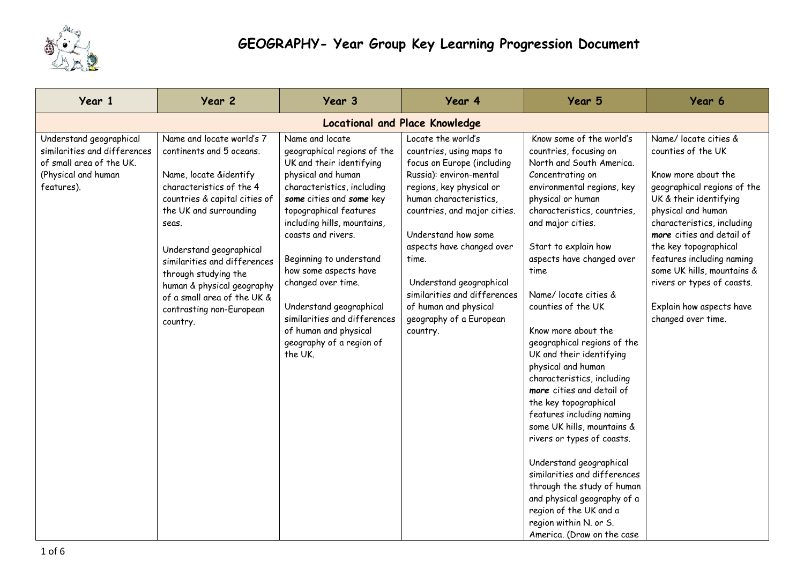

| Year 1                                                                                                                   | Year 2                                                                                                                                                                                                                                                                                                                                                                  | Year 3                                                                                                                                                                                                                                                                                                                                                                                                                                         | Year 4                                                                                                                                                                                                                                                                                                                                                                                | Year 5                                                                                                                                                                                                                                                                                                                                                                                                                                                                                                                                                                                                                                                                                                                                                                                                              | Year 6                                                                                                                                                                                                                                                                                                                                                                          |  |
|--------------------------------------------------------------------------------------------------------------------------|-------------------------------------------------------------------------------------------------------------------------------------------------------------------------------------------------------------------------------------------------------------------------------------------------------------------------------------------------------------------------|------------------------------------------------------------------------------------------------------------------------------------------------------------------------------------------------------------------------------------------------------------------------------------------------------------------------------------------------------------------------------------------------------------------------------------------------|---------------------------------------------------------------------------------------------------------------------------------------------------------------------------------------------------------------------------------------------------------------------------------------------------------------------------------------------------------------------------------------|---------------------------------------------------------------------------------------------------------------------------------------------------------------------------------------------------------------------------------------------------------------------------------------------------------------------------------------------------------------------------------------------------------------------------------------------------------------------------------------------------------------------------------------------------------------------------------------------------------------------------------------------------------------------------------------------------------------------------------------------------------------------------------------------------------------------|---------------------------------------------------------------------------------------------------------------------------------------------------------------------------------------------------------------------------------------------------------------------------------------------------------------------------------------------------------------------------------|--|
| <b>Locational and Place Knowledge</b>                                                                                    |                                                                                                                                                                                                                                                                                                                                                                         |                                                                                                                                                                                                                                                                                                                                                                                                                                                |                                                                                                                                                                                                                                                                                                                                                                                       |                                                                                                                                                                                                                                                                                                                                                                                                                                                                                                                                                                                                                                                                                                                                                                                                                     |                                                                                                                                                                                                                                                                                                                                                                                 |  |
| Understand geographical<br>similarities and differences<br>of small area of the UK.<br>(Physical and human<br>features). | Name and locate world's 7<br>continents and 5 oceans.<br>Name, locate &identify<br>characteristics of the 4<br>countries & capital cities of<br>the UK and surrounding<br>seas.<br>Understand geographical<br>similarities and differences<br>through studying the<br>human & physical geography<br>of a small area of the UK &<br>contrasting non-European<br>country. | Name and locate<br>geographical regions of the<br>UK and their identifying<br>physical and human<br>characteristics, including<br>some cities and some key<br>topographical features<br>including hills, mountains,<br>coasts and rivers.<br>Beginning to understand<br>how some aspects have<br>changed over time.<br>Understand geographical<br>similarities and differences<br>of human and physical<br>geography of a region of<br>the UK. | Locate the world's<br>countries, using maps to<br>focus on Europe (including<br>Russia): environ-mental<br>regions, key physical or<br>human characteristics,<br>countries, and major cities.<br>Understand how some<br>aspects have changed over<br>time.<br>Understand geographical<br>similarities and differences<br>of human and physical<br>geography of a European<br>country. | Know some of the world's<br>countries, focusing on<br>North and South America.<br>Concentrating on<br>environmental regions, key<br>physical or human<br>characteristics, countries,<br>and major cities.<br>Start to explain how<br>aspects have changed over<br>time<br>Name/locate cities &<br>counties of the UK<br>Know more about the<br>geographical regions of the<br>UK and their identifying<br>physical and human<br>characteristics, including<br>more cities and detail of<br>the key topographical<br>features including naming<br>some UK hills, mountains &<br>rivers or types of coasts.<br>Understand geographical<br>similarities and differences<br>through the study of human<br>and physical geography of a<br>region of the UK and a<br>region within N. or S.<br>America. (Draw on the case | Name/locate cities &<br>counties of the UK<br>Know more about the<br>geographical regions of the<br>UK & their identifying<br>physical and human<br>characteristics, including<br>more cities and detail of<br>the key topographical<br>features including naming<br>some UK hills, mountains &<br>rivers or types of coasts.<br>Explain how aspects have<br>changed over time. |  |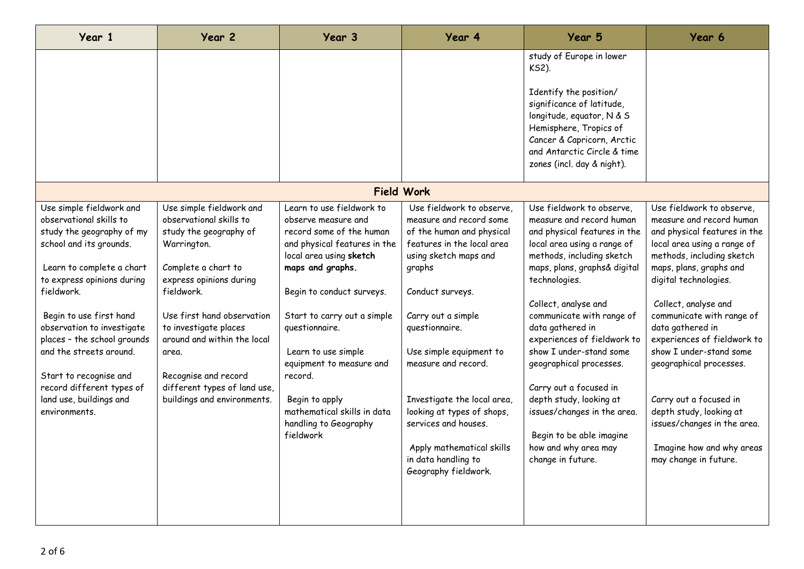| Year 1                                                                                                                                                                                                                                                                                                                                                                                                     | Year 2                                                                                                                                                                                                                                                                                                                                             | Year 3                                                                                                                                                                                                                                                                                                                                                                                         | Year 4                                                                                                                                                                                                                                                                                                                                                                                                                            | Year 5                                                                                                                                                                                                                                                                                                                                                                                                                                                                                                                        | Year 6                                                                                                                                                                                                                                                                                                                                                                                                                                                                                                        |
|------------------------------------------------------------------------------------------------------------------------------------------------------------------------------------------------------------------------------------------------------------------------------------------------------------------------------------------------------------------------------------------------------------|----------------------------------------------------------------------------------------------------------------------------------------------------------------------------------------------------------------------------------------------------------------------------------------------------------------------------------------------------|------------------------------------------------------------------------------------------------------------------------------------------------------------------------------------------------------------------------------------------------------------------------------------------------------------------------------------------------------------------------------------------------|-----------------------------------------------------------------------------------------------------------------------------------------------------------------------------------------------------------------------------------------------------------------------------------------------------------------------------------------------------------------------------------------------------------------------------------|-------------------------------------------------------------------------------------------------------------------------------------------------------------------------------------------------------------------------------------------------------------------------------------------------------------------------------------------------------------------------------------------------------------------------------------------------------------------------------------------------------------------------------|---------------------------------------------------------------------------------------------------------------------------------------------------------------------------------------------------------------------------------------------------------------------------------------------------------------------------------------------------------------------------------------------------------------------------------------------------------------------------------------------------------------|
|                                                                                                                                                                                                                                                                                                                                                                                                            |                                                                                                                                                                                                                                                                                                                                                    |                                                                                                                                                                                                                                                                                                                                                                                                |                                                                                                                                                                                                                                                                                                                                                                                                                                   | study of Europe in lower<br>KS2).<br>Identify the position/<br>significance of latitude,<br>longitude, equator, N & S<br>Hemisphere, Tropics of                                                                                                                                                                                                                                                                                                                                                                               |                                                                                                                                                                                                                                                                                                                                                                                                                                                                                                               |
|                                                                                                                                                                                                                                                                                                                                                                                                            |                                                                                                                                                                                                                                                                                                                                                    |                                                                                                                                                                                                                                                                                                                                                                                                |                                                                                                                                                                                                                                                                                                                                                                                                                                   | Cancer & Capricorn, Arctic<br>and Antarctic Circle & time<br>zones (incl. day & night).                                                                                                                                                                                                                                                                                                                                                                                                                                       |                                                                                                                                                                                                                                                                                                                                                                                                                                                                                                               |
|                                                                                                                                                                                                                                                                                                                                                                                                            |                                                                                                                                                                                                                                                                                                                                                    |                                                                                                                                                                                                                                                                                                                                                                                                | <b>Field Work</b>                                                                                                                                                                                                                                                                                                                                                                                                                 |                                                                                                                                                                                                                                                                                                                                                                                                                                                                                                                               |                                                                                                                                                                                                                                                                                                                                                                                                                                                                                                               |
| Use simple fieldwork and<br>observational skills to<br>study the geography of my<br>school and its grounds.<br>Learn to complete a chart<br>to express opinions during<br>fieldwork.<br>Begin to use first hand<br>observation to investigate<br>places - the school grounds<br>and the streets around.<br>Start to recognise and<br>record different types of<br>land use, buildings and<br>environments. | Use simple fieldwork and<br>observational skills to<br>study the geography of<br>Warrington.<br>Complete a chart to<br>express opinions during<br>fieldwork.<br>Use first hand observation<br>to investigate places<br>around and within the local<br>area.<br>Recognise and record<br>different types of land use,<br>buildings and environments. | Learn to use fieldwork to<br>observe measure and<br>record some of the human<br>and physical features in the<br>local area using sketch<br>maps and graphs.<br>Begin to conduct surveys.<br>Start to carry out a simple<br>questionnaire.<br>Learn to use simple<br>equipment to measure and<br>record.<br>Begin to apply<br>mathematical skills in data<br>handling to Geography<br>fieldwork | Use fieldwork to observe.<br>measure and record some<br>of the human and physical<br>features in the local area<br>using sketch maps and<br>graphs<br>Conduct surveys.<br>Carry out a simple<br>questionnaire.<br>Use simple equipment to<br>measure and record.<br>Investigate the local area,<br>looking at types of shops,<br>services and houses.<br>Apply mathematical skills<br>in data handling to<br>Geography fieldwork. | Use fieldwork to observe.<br>measure and record human<br>and physical features in the<br>local area using a range of<br>methods, including sketch<br>maps, plans, graphs& digital<br>technologies.<br>Collect, analyse and<br>communicate with range of<br>data gathered in<br>experiences of fieldwork to<br>show I under-stand some<br>geographical processes.<br>Carry out a focused in<br>depth study, looking at<br>issues/changes in the area.<br>Begin to be able imagine<br>how and why area may<br>change in future. | Use fieldwork to observe,<br>measure and record human<br>and physical features in the<br>local area using a range of<br>methods, including sketch<br>maps, plans, graphs and<br>digital technologies.<br>Collect, analyse and<br>communicate with range of<br>data gathered in<br>experiences of fieldwork to<br>show I under-stand some<br>geographical processes.<br>Carry out a focused in<br>depth study, looking at<br>issues/changes in the area.<br>Imagine how and why areas<br>may change in future. |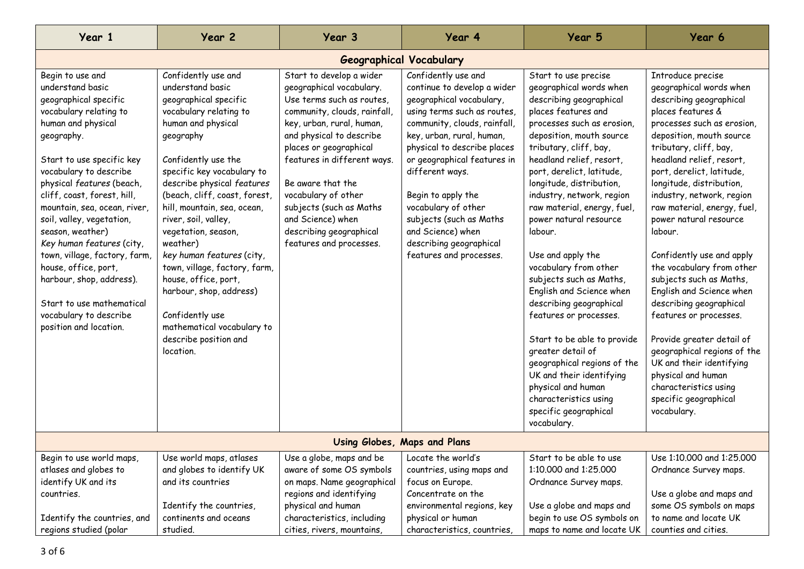| Year 1                                                                                                                                                                                                                                                                                                                                                                                                                                                                                                                             | Year 2                                                                                                                                                                                                                                                                                                                                                                                                                                                                                                                                              | Year 3                                                                                                                                                                                                                                                                                                                                                                                | Year 4                                                                                                                                                                                                                                                                                                                                                                                                         | Year 5                                                                                                                                                                                                                                                                                                                                                                                                                                                                                                                                                                                                                                                                                                                                      | Year 6                                                                                                                                                                                                                                                                                                                                                                                                                                                                                                                                                                                                                                                                                                                      |  |
|------------------------------------------------------------------------------------------------------------------------------------------------------------------------------------------------------------------------------------------------------------------------------------------------------------------------------------------------------------------------------------------------------------------------------------------------------------------------------------------------------------------------------------|-----------------------------------------------------------------------------------------------------------------------------------------------------------------------------------------------------------------------------------------------------------------------------------------------------------------------------------------------------------------------------------------------------------------------------------------------------------------------------------------------------------------------------------------------------|---------------------------------------------------------------------------------------------------------------------------------------------------------------------------------------------------------------------------------------------------------------------------------------------------------------------------------------------------------------------------------------|----------------------------------------------------------------------------------------------------------------------------------------------------------------------------------------------------------------------------------------------------------------------------------------------------------------------------------------------------------------------------------------------------------------|---------------------------------------------------------------------------------------------------------------------------------------------------------------------------------------------------------------------------------------------------------------------------------------------------------------------------------------------------------------------------------------------------------------------------------------------------------------------------------------------------------------------------------------------------------------------------------------------------------------------------------------------------------------------------------------------------------------------------------------------|-----------------------------------------------------------------------------------------------------------------------------------------------------------------------------------------------------------------------------------------------------------------------------------------------------------------------------------------------------------------------------------------------------------------------------------------------------------------------------------------------------------------------------------------------------------------------------------------------------------------------------------------------------------------------------------------------------------------------------|--|
| <b>Geographical Vocabulary</b>                                                                                                                                                                                                                                                                                                                                                                                                                                                                                                     |                                                                                                                                                                                                                                                                                                                                                                                                                                                                                                                                                     |                                                                                                                                                                                                                                                                                                                                                                                       |                                                                                                                                                                                                                                                                                                                                                                                                                |                                                                                                                                                                                                                                                                                                                                                                                                                                                                                                                                                                                                                                                                                                                                             |                                                                                                                                                                                                                                                                                                                                                                                                                                                                                                                                                                                                                                                                                                                             |  |
| Begin to use and<br>understand basic<br>geographical specific<br>vocabulary relating to<br>human and physical<br>geography.<br>Start to use specific key<br>vocabulary to describe<br>physical features (beach,<br>cliff, coast, forest, hill,<br>mountain, sea, ocean, river,<br>soil, valley, vegetation,<br>season, weather)<br>Key human features (city,<br>town, village, factory, farm,<br>house, office, port,<br>harbour, shop, address).<br>Start to use mathematical<br>vocabulary to describe<br>position and location. | Confidently use and<br>understand basic<br>geographical specific<br>vocabulary relating to<br>human and physical<br>geography<br>Confidently use the<br>specific key vocabulary to<br>describe physical features<br>(beach, cliff, coast, forest,<br>hill, mountain, sea, ocean,<br>river, soil, valley,<br>vegetation, season,<br>weather)<br>key human features (city,<br>town, village, factory, farm,<br>house, office, port,<br>harbour, shop, address)<br>Confidently use<br>mathematical vocabulary to<br>describe position and<br>location. | Start to develop a wider<br>geographical vocabulary.<br>Use terms such as routes,<br>community, clouds, rainfall,<br>key, urban, rural, human,<br>and physical to describe<br>places or geographical<br>features in different ways.<br>Be aware that the<br>vocabulary of other<br>subjects (such as Maths<br>and Science) when<br>describing geographical<br>features and processes. | Confidently use and<br>continue to develop a wider<br>geographical vocabulary,<br>using terms such as routes,<br>community, clouds, rainfall,<br>key, urban, rural, human,<br>physical to describe places<br>or geographical features in<br>different ways.<br>Begin to apply the<br>vocabulary of other<br>subjects (such as Maths<br>and Science) when<br>describing geographical<br>features and processes. | Start to use precise<br>geographical words when<br>describing geographical<br>places features and<br>processes such as erosion,<br>deposition, mouth source<br>tributary, cliff, bay,<br>headland relief, resort,<br>port, derelict, latitude,<br>longitude, distribution,<br>industry, network, region<br>raw material, energy, fuel,<br>power natural resource<br>labour.<br>Use and apply the<br>vocabulary from other<br>subjects such as Maths,<br>English and Science when<br>describing geographical<br>features or processes.<br>Start to be able to provide<br>greater detail of<br>geographical regions of the<br>UK and their identifying<br>physical and human<br>characteristics using<br>specific geographical<br>vocabulary. | Introduce precise<br>geographical words when<br>describing geographical<br>places features &<br>processes such as erosion,<br>deposition, mouth source<br>tributary, cliff, bay,<br>headland relief, resort,<br>port, derelict, latitude,<br>longitude, distribution,<br>industry, network, region<br>raw material, energy, fuel,<br>power natural resource<br>labour.<br>Confidently use and apply<br>the vocabulary from other<br>subjects such as Maths,<br>English and Science when<br>describing geographical<br>features or processes.<br>Provide greater detail of<br>geographical regions of the<br>UK and their identifying<br>physical and human<br>characteristics using<br>specific geographical<br>vocabulary. |  |
| Using Globes, Maps and Plans                                                                                                                                                                                                                                                                                                                                                                                                                                                                                                       |                                                                                                                                                                                                                                                                                                                                                                                                                                                                                                                                                     |                                                                                                                                                                                                                                                                                                                                                                                       |                                                                                                                                                                                                                                                                                                                                                                                                                |                                                                                                                                                                                                                                                                                                                                                                                                                                                                                                                                                                                                                                                                                                                                             |                                                                                                                                                                                                                                                                                                                                                                                                                                                                                                                                                                                                                                                                                                                             |  |
| Begin to use world maps,<br>atlases and globes to<br>identify UK and its<br>countries.<br>Identify the countries, and                                                                                                                                                                                                                                                                                                                                                                                                              | Use world maps, atlases<br>and globes to identify UK<br>and its countries<br>Identify the countries,<br>continents and oceans                                                                                                                                                                                                                                                                                                                                                                                                                       | Use a globe, maps and be<br>aware of some OS symbols<br>on maps. Name geographical<br>regions and identifying<br>physical and human<br>characteristics, including                                                                                                                                                                                                                     | Locate the world's<br>countries, using maps and<br>focus on Europe.<br>Concentrate on the<br>environmental regions, key<br>physical or human                                                                                                                                                                                                                                                                   | Start to be able to use<br>1:10.000 and 1:25.000<br>Ordnance Survey maps.<br>Use a globe and maps and<br>begin to use OS symbols on                                                                                                                                                                                                                                                                                                                                                                                                                                                                                                                                                                                                         | Use 1:10,000 and 1:25,000<br>Ordnance Survey maps.<br>Use a globe and maps and<br>some OS symbols on maps<br>to name and locate UK                                                                                                                                                                                                                                                                                                                                                                                                                                                                                                                                                                                          |  |
| regions studied (polar                                                                                                                                                                                                                                                                                                                                                                                                                                                                                                             | studied.                                                                                                                                                                                                                                                                                                                                                                                                                                                                                                                                            | cities, rivers, mountains,                                                                                                                                                                                                                                                                                                                                                            | characteristics, countries,                                                                                                                                                                                                                                                                                                                                                                                    | maps to name and locate UK                                                                                                                                                                                                                                                                                                                                                                                                                                                                                                                                                                                                                                                                                                                  | counties and cities.                                                                                                                                                                                                                                                                                                                                                                                                                                                                                                                                                                                                                                                                                                        |  |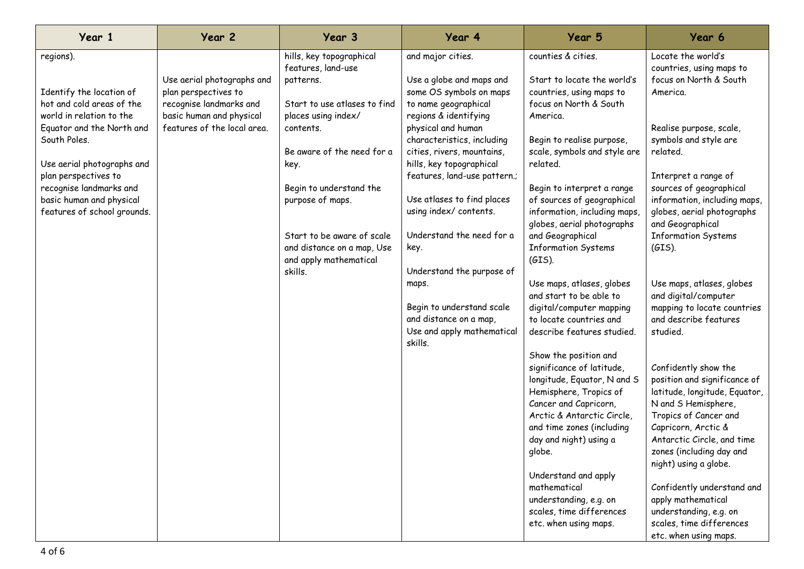| Year 1                                                                                                                                                                                                                                                                                  | Year 2                                                                                                                                   | Year 3                                                                                                                                                                                                                                                                                                                | Year 4                                                                                                                                                                                                                                                                                                                                                                                                                                                                                                     | Year 5                                                                                                                                                                                                                                                                                                                                                                                                                                                                                                                                                                                                                                                                                                                                                                                                                                                                                           | Year 6                                                                                                                                                                                                                                                                                                                                                                                                                                                                                                                                                                                                                                                                                                                                                                                                                                              |
|-----------------------------------------------------------------------------------------------------------------------------------------------------------------------------------------------------------------------------------------------------------------------------------------|------------------------------------------------------------------------------------------------------------------------------------------|-----------------------------------------------------------------------------------------------------------------------------------------------------------------------------------------------------------------------------------------------------------------------------------------------------------------------|------------------------------------------------------------------------------------------------------------------------------------------------------------------------------------------------------------------------------------------------------------------------------------------------------------------------------------------------------------------------------------------------------------------------------------------------------------------------------------------------------------|--------------------------------------------------------------------------------------------------------------------------------------------------------------------------------------------------------------------------------------------------------------------------------------------------------------------------------------------------------------------------------------------------------------------------------------------------------------------------------------------------------------------------------------------------------------------------------------------------------------------------------------------------------------------------------------------------------------------------------------------------------------------------------------------------------------------------------------------------------------------------------------------------|-----------------------------------------------------------------------------------------------------------------------------------------------------------------------------------------------------------------------------------------------------------------------------------------------------------------------------------------------------------------------------------------------------------------------------------------------------------------------------------------------------------------------------------------------------------------------------------------------------------------------------------------------------------------------------------------------------------------------------------------------------------------------------------------------------------------------------------------------------|
| regions).<br>Identify the location of<br>hot and cold areas of the<br>world in relation to the<br>Equator and the North and<br>South Poles.<br>Use aerial photographs and<br>plan perspectives to<br>recognise landmarks and<br>basic human and physical<br>features of school grounds. | Use aerial photographs and<br>plan perspectives to<br>recognise landmarks and<br>basic human and physical<br>features of the local area. | hills, key topographical<br>features, land-use<br>patterns.<br>Start to use atlases to find<br>places using index/<br>contents.<br>Be aware of the need for a<br>key.<br>Begin to understand the<br>purpose of maps.<br>Start to be aware of scale<br>and distance on a map, Use<br>and apply mathematical<br>skills. | and major cities.<br>Use a globe and maps and<br>some OS symbols on maps<br>to name geographical<br>regions & identifying<br>physical and human<br>characteristics, including<br>cities, rivers, mountains,<br>hills, key topographical<br>features, land-use pattern.;<br>Use atlases to find places<br>using index/ contents.<br>Understand the need for a<br>key.<br>Understand the purpose of<br>maps.<br>Begin to understand scale<br>and distance on a map,<br>Use and apply mathematical<br>skills. | counties & cities.<br>Start to locate the world's<br>countries, using maps to<br>focus on North & South<br>America.<br>Begin to realise purpose,<br>scale, symbols and style are<br>related.<br>Begin to interpret a range<br>of sources of geographical<br>information, including maps,<br>globes, aerial photographs<br>and Geographical<br><b>Information Systems</b><br>$(GIS)$ .<br>Use maps, atlases, globes<br>and start to be able to<br>digital/computer mapping<br>to locate countries and<br>describe features studied.<br>Show the position and<br>significance of latitude,<br>longitude, Equator, N and S<br>Hemisphere, Tropics of<br>Cancer and Capricorn,<br>Arctic & Antarctic Circle,<br>and time zones (including<br>day and night) using a<br>globe.<br>Understand and apply<br>mathematical<br>understanding, e.g. on<br>scales, time differences<br>etc. when using maps. | Locate the world's<br>countries, using maps to<br>focus on North & South<br>America.<br>Realise purpose, scale,<br>symbols and style are<br>related.<br>Interpret a range of<br>sources of geographical<br>information, including maps,<br>globes, aerial photographs<br>and Geographical<br><b>Information Systems</b><br>$(GIS)$ .<br>Use maps, atlases, globes<br>and digital/computer<br>mapping to locate countries<br>and describe features<br>studied.<br>Confidently show the<br>position and significance of<br>latitude, longitude, Equator,<br>N and S Hemisphere,<br>Tropics of Cancer and<br>Capricorn, Arctic &<br>Antarctic Circle, and time<br>zones (including day and<br>night) using a globe.<br>Confidently understand and<br>apply mathematical<br>understanding, e.g. on<br>scales, time differences<br>etc. when using maps. |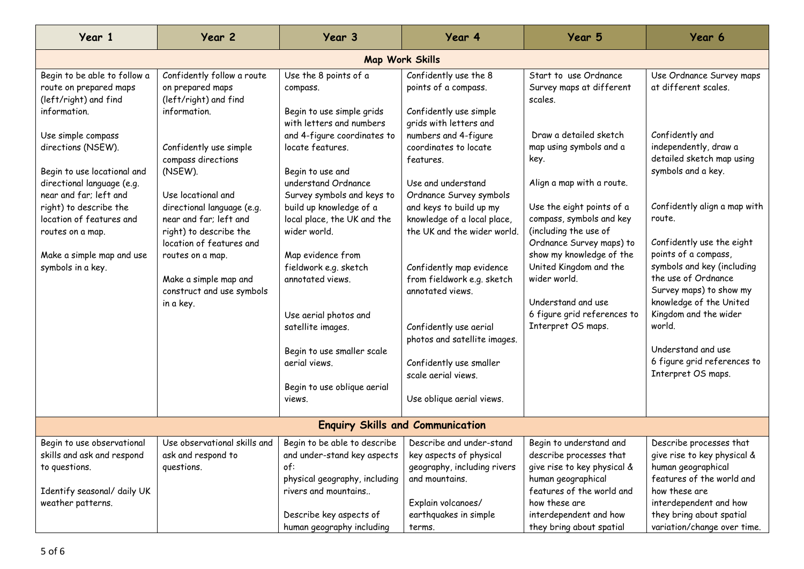| Year 1                                                                                                                                                                                                                                                                                                                                                         | Year 2                                                                                                                                                                                                                                                                                                                                                                        | Year 3                                                                                                                                                                                                                                                                                                                                                                                                                                                          | Year 4                                                                                                                                                                                                                                                                                                                                                                                                                                                                                              | Year 5                                                                                                                                                                                                                                                                                                                                                                                                                | Year 6                                                                                                                                                                                                                                                                                                                                                                                                                                                                  |  |  |
|----------------------------------------------------------------------------------------------------------------------------------------------------------------------------------------------------------------------------------------------------------------------------------------------------------------------------------------------------------------|-------------------------------------------------------------------------------------------------------------------------------------------------------------------------------------------------------------------------------------------------------------------------------------------------------------------------------------------------------------------------------|-----------------------------------------------------------------------------------------------------------------------------------------------------------------------------------------------------------------------------------------------------------------------------------------------------------------------------------------------------------------------------------------------------------------------------------------------------------------|-----------------------------------------------------------------------------------------------------------------------------------------------------------------------------------------------------------------------------------------------------------------------------------------------------------------------------------------------------------------------------------------------------------------------------------------------------------------------------------------------------|-----------------------------------------------------------------------------------------------------------------------------------------------------------------------------------------------------------------------------------------------------------------------------------------------------------------------------------------------------------------------------------------------------------------------|-------------------------------------------------------------------------------------------------------------------------------------------------------------------------------------------------------------------------------------------------------------------------------------------------------------------------------------------------------------------------------------------------------------------------------------------------------------------------|--|--|
| Map Work Skills                                                                                                                                                                                                                                                                                                                                                |                                                                                                                                                                                                                                                                                                                                                                               |                                                                                                                                                                                                                                                                                                                                                                                                                                                                 |                                                                                                                                                                                                                                                                                                                                                                                                                                                                                                     |                                                                                                                                                                                                                                                                                                                                                                                                                       |                                                                                                                                                                                                                                                                                                                                                                                                                                                                         |  |  |
| Begin to be able to follow a<br>route on prepared maps<br>(left/right) and find<br>information.<br>Use simple compass<br>directions (NSEW).<br>Begin to use locational and<br>directional language (e.g.<br>near and far; left and<br>right) to describe the<br>location of features and<br>routes on a map.<br>Make a simple map and use<br>symbols in a key. | Confidently follow a route<br>on prepared maps<br>(left/right) and find<br>information.<br>Confidently use simple<br>compass directions<br>(NSEW).<br>Use locational and<br>directional language (e.g.<br>near and far; left and<br>right) to describe the<br>location of features and<br>routes on a map.<br>Make a simple map and<br>construct and use symbols<br>in a key. | Use the 8 points of a<br>compass.<br>Begin to use simple grids<br>with letters and numbers<br>and 4-figure coordinates to<br>locate features.<br>Begin to use and<br>understand Ordnance<br>Survey symbols and keys to<br>build up knowledge of a<br>local place, the UK and the<br>wider world.<br>Map evidence from<br>fieldwork e.g. sketch<br>annotated views.<br>Use aerial photos and<br>satellite images.<br>Begin to use smaller scale<br>aerial views. | Confidently use the 8<br>points of a compass.<br>Confidently use simple<br>grids with letters and<br>numbers and 4-figure<br>coordinates to locate<br>features.<br>Use and understand<br>Ordnance Survey symbols<br>and keys to build up my<br>knowledge of a local place,<br>the UK and the wider world.<br>Confidently map evidence<br>from fieldwork e.g. sketch<br>annotated views.<br>Confidently use aerial<br>photos and satellite images.<br>Confidently use smaller<br>scale aerial views. | Start to use Ordnance<br>Survey maps at different<br>scales.<br>Draw a detailed sketch<br>map using symbols and a<br>key.<br>Align a map with a route.<br>Use the eight points of a<br>compass, symbols and key<br>(including the use of<br>Ordnance Survey maps) to<br>show my knowledge of the<br>United Kingdom and the<br>wider world.<br>Understand and use<br>6 figure grid references to<br>Interpret OS maps. | Use Ordnance Survey maps<br>at different scales.<br>Confidently and<br>independently, draw a<br>detailed sketch map using<br>symbols and a key.<br>Confidently align a map with<br>route.<br>Confidently use the eight<br>points of a compass,<br>symbols and key (including<br>the use of Ordnance<br>Survey maps) to show my<br>knowledge of the United<br>Kingdom and the wider<br>world.<br>Understand and use<br>6 figure grid references to<br>Interpret OS maps. |  |  |
|                                                                                                                                                                                                                                                                                                                                                                |                                                                                                                                                                                                                                                                                                                                                                               | Begin to use oblique aerial<br>views.                                                                                                                                                                                                                                                                                                                                                                                                                           | Use oblique aerial views.                                                                                                                                                                                                                                                                                                                                                                                                                                                                           |                                                                                                                                                                                                                                                                                                                                                                                                                       |                                                                                                                                                                                                                                                                                                                                                                                                                                                                         |  |  |
| <b>Enquiry Skills and Communication</b>                                                                                                                                                                                                                                                                                                                        |                                                                                                                                                                                                                                                                                                                                                                               |                                                                                                                                                                                                                                                                                                                                                                                                                                                                 |                                                                                                                                                                                                                                                                                                                                                                                                                                                                                                     |                                                                                                                                                                                                                                                                                                                                                                                                                       |                                                                                                                                                                                                                                                                                                                                                                                                                                                                         |  |  |
| Begin to use observational                                                                                                                                                                                                                                                                                                                                     | Use observational skills and                                                                                                                                                                                                                                                                                                                                                  | Begin to be able to describe                                                                                                                                                                                                                                                                                                                                                                                                                                    | Describe and under-stand                                                                                                                                                                                                                                                                                                                                                                                                                                                                            | Begin to understand and                                                                                                                                                                                                                                                                                                                                                                                               | Describe processes that                                                                                                                                                                                                                                                                                                                                                                                                                                                 |  |  |
| skills and ask and respond<br>to questions.                                                                                                                                                                                                                                                                                                                    | ask and respond to<br>questions.                                                                                                                                                                                                                                                                                                                                              | and under-stand key aspects<br>of:<br>physical geography, including                                                                                                                                                                                                                                                                                                                                                                                             | key aspects of physical<br>geography, including rivers<br>and mountains.                                                                                                                                                                                                                                                                                                                                                                                                                            | describe processes that<br>give rise to key physical &<br>human geographical                                                                                                                                                                                                                                                                                                                                          | give rise to key physical &<br>human geographical<br>features of the world and                                                                                                                                                                                                                                                                                                                                                                                          |  |  |
| Identify seasonal/ daily UK<br>weather patterns.                                                                                                                                                                                                                                                                                                               |                                                                                                                                                                                                                                                                                                                                                                               | rivers and mountains<br>Describe key aspects of<br>human geography including                                                                                                                                                                                                                                                                                                                                                                                    | Explain volcanoes/<br>earthquakes in simple<br>terms.                                                                                                                                                                                                                                                                                                                                                                                                                                               | features of the world and<br>how these are<br>interdependent and how<br>they bring about spatial                                                                                                                                                                                                                                                                                                                      | how these are<br>interdependent and how<br>they bring about spatial<br>variation/change over time.                                                                                                                                                                                                                                                                                                                                                                      |  |  |